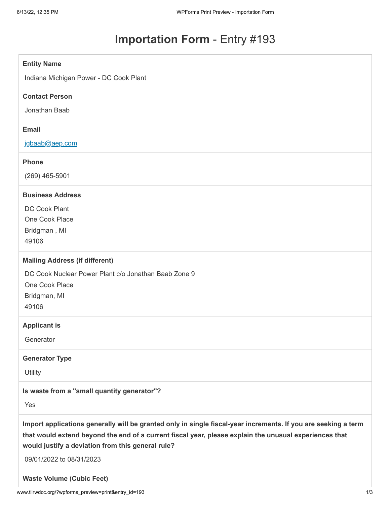# **Importation Form** - Entry #193

#### **Entity Name**

Indiana Michigan Power - DC Cook Plant

#### **Contact Person**

Jonathan Baab

# **Email**

[jgbaab@aep.com](mailto:jgbaab@aep.com)

#### **Phone**

(269) 465-5901

# **Business Address**

DC Cook Plant One Cook Place Bridgman , MI 49106

#### **Mailing Address (if different)**

DC Cook Nuclear Power Plant c/o Jonathan Baab Zone 9

One Cook Place

Bridgman, MI

49106

#### **Applicant is**

**Generator** 

#### **Generator Type**

**Utility** 

#### **Is waste from a "small quantity generator"?**

Yes

**Import applications generally will be granted only in single fiscal-year increments. If you are seeking a term that would extend beyond the end of a current fiscal year, please explain the unusual experiences that would justify a deviation from this general rule?**

09/01/2022 to 08/31/2023

**Waste Volume (Cubic Feet)**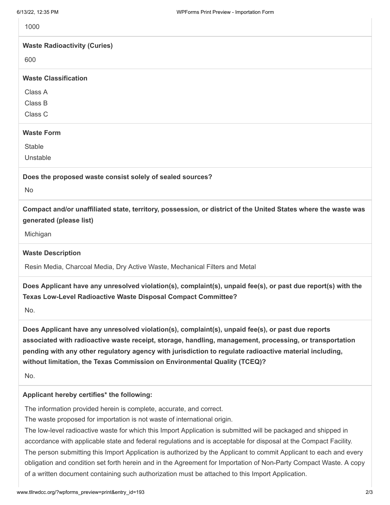| 6/13/22, 12:35 PM                                         | WPForms Print Preview - Importation Form                                                                                                                                                                                                                                                                                                                                                            |
|-----------------------------------------------------------|-----------------------------------------------------------------------------------------------------------------------------------------------------------------------------------------------------------------------------------------------------------------------------------------------------------------------------------------------------------------------------------------------------|
| 1000                                                      |                                                                                                                                                                                                                                                                                                                                                                                                     |
| <b>Waste Radioactivity (Curies)</b>                       |                                                                                                                                                                                                                                                                                                                                                                                                     |
| 600                                                       |                                                                                                                                                                                                                                                                                                                                                                                                     |
| <b>Waste Classification</b>                               |                                                                                                                                                                                                                                                                                                                                                                                                     |
| Class A                                                   |                                                                                                                                                                                                                                                                                                                                                                                                     |
| Class B                                                   |                                                                                                                                                                                                                                                                                                                                                                                                     |
| Class C                                                   |                                                                                                                                                                                                                                                                                                                                                                                                     |
| <b>Waste Form</b>                                         |                                                                                                                                                                                                                                                                                                                                                                                                     |
| <b>Stable</b>                                             |                                                                                                                                                                                                                                                                                                                                                                                                     |
| Unstable                                                  |                                                                                                                                                                                                                                                                                                                                                                                                     |
| Does the proposed waste consist solely of sealed sources? |                                                                                                                                                                                                                                                                                                                                                                                                     |
| <b>No</b>                                                 |                                                                                                                                                                                                                                                                                                                                                                                                     |
| generated (please list)                                   | Compact and/or unaffiliated state, territory, possession, or district of the United States where the waste was                                                                                                                                                                                                                                                                                      |
| Michigan                                                  |                                                                                                                                                                                                                                                                                                                                                                                                     |
| <b>Waste Description</b>                                  |                                                                                                                                                                                                                                                                                                                                                                                                     |
|                                                           | Resin Media, Charcoal Media, Dry Active Waste, Mechanical Filters and Metal                                                                                                                                                                                                                                                                                                                         |
| No.                                                       | Does Applicant have any unresolved violation(s), complaint(s), unpaid fee(s), or past due report(s) with the<br>Texas Low-Level Radioactive Waste Disposal Compact Committee?                                                                                                                                                                                                                       |
|                                                           | Does Applicant have any unresolved violation(s), complaint(s), unpaid fee(s), or past due reports<br>associated with radioactive waste receipt, storage, handling, management, processing, or transportation<br>pending with any other regulatory agency with jurisdiction to regulate radioactive material including,<br>without limitation, the Texas Commission on Environmental Quality (TCEQ)? |
| No.                                                       |                                                                                                                                                                                                                                                                                                                                                                                                     |
| Applicant hereby certifies* the following:                |                                                                                                                                                                                                                                                                                                                                                                                                     |
|                                                           | The information provided herein is complete, accurate, and correct.                                                                                                                                                                                                                                                                                                                                 |
|                                                           | The waste proposed for importation is not waste of international origin.                                                                                                                                                                                                                                                                                                                            |
|                                                           | The low-level radioactive waste for which this Import Application is submitted will be packaged and shipped in                                                                                                                                                                                                                                                                                      |

accordance with applicable state and federal regulations and is acceptable for disposal at the Compact Facility. The person submitting this Import Application is authorized by the Applicant to commit Applicant to each and every

obligation and condition set forth herein and in the Agreement for Importation of Non-Party Compact Waste. A copy of a written document containing such authorization must be attached to this Import Application.